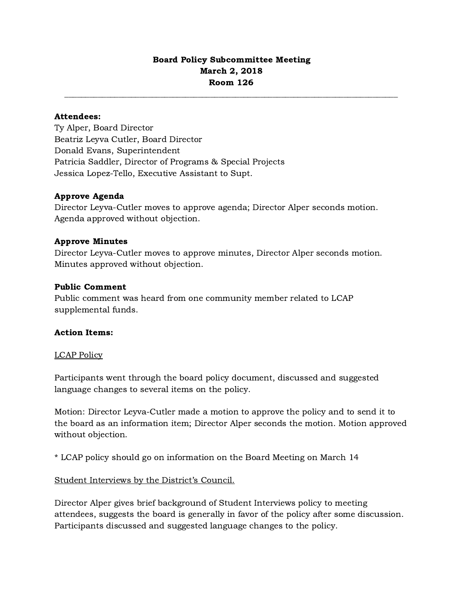# Board Policy Subcommittee Meeting March 2, 2018 Room 126

# Attendees:

Ty Alper, Board Director Beatriz Leyva Cutler, Board Director Donald Evans, Superintendent Patricia Saddler, Director of Programs & Special Projects Jessica Lopez-Tello, Executive Assistant to Supt.

## Approve Agenda

Director Leyva-Cutler moves to approve agenda; Director Alper seconds motion. Agenda approved without objection.

## Approve Minutes

Director Leyva-Cutler moves to approve minutes, Director Alper seconds motion. Minutes approved without objection.

## Public Comment

Public comment was heard from one community member related to LCAP supplemental funds.

### Action Items:

### LCAP Policy

Participants went through the board policy document, discussed and suggested language changes to several items on the policy.

Motion: Director Leyva-Cutler made a motion to approve the policy and to send it to the board as an information item; Director Alper seconds the motion. Motion approved without objection.

\* LCAP policy should go on information on the Board Meeting on March 14

### Student Interviews by the District's Council.

Director Alper gives brief background of Student Interviews policy to meeting attendees, suggests the board is generally in favor of the policy after some discussion. Participants discussed and suggested language changes to the policy.